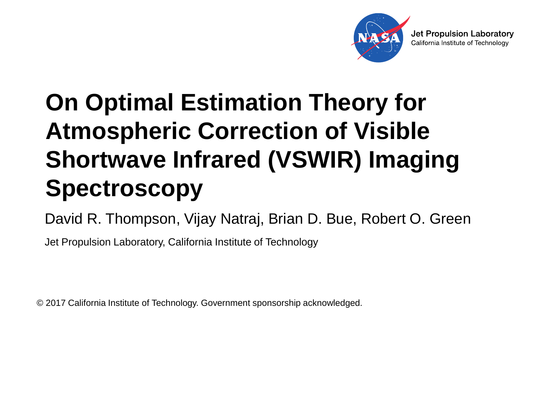

#### **On Optimal Estimation Theory for Atmospheric Correction of Visible Shortwave Infrared (VSWIR) Imaging Spectroscopy**

David R. Thompson, Vijay Natraj, Brian D. Bue, Robert O. Green

Jet Propulsion Laboratory, California Institute of Technology

© 2017 California Institute of Technology. Government sponsorship acknowledged.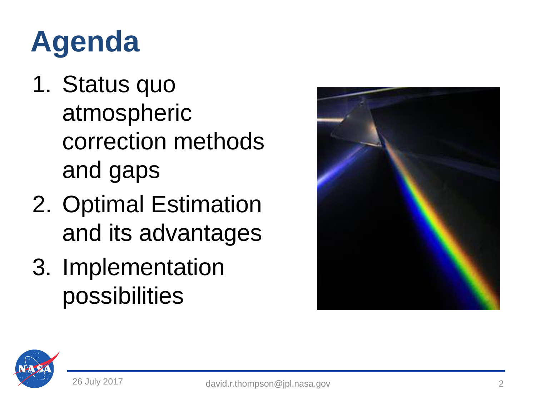#### **Agenda**

- 1. Status quo atmospheric correction methods and gaps
- 2. Optimal Estimation and its advantages
- 3. Implementation possibilities



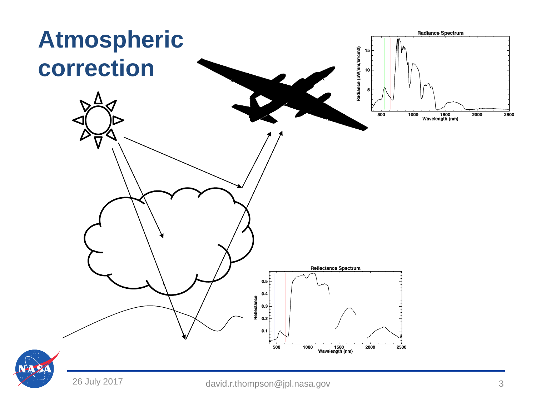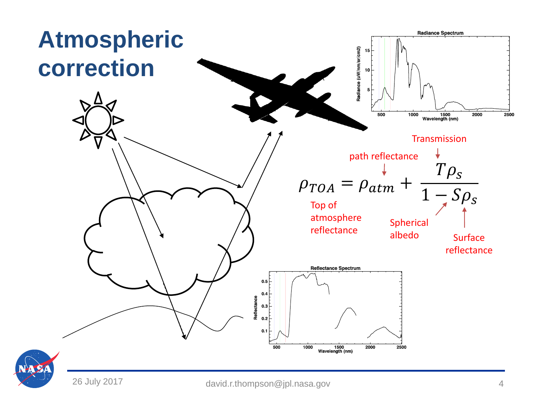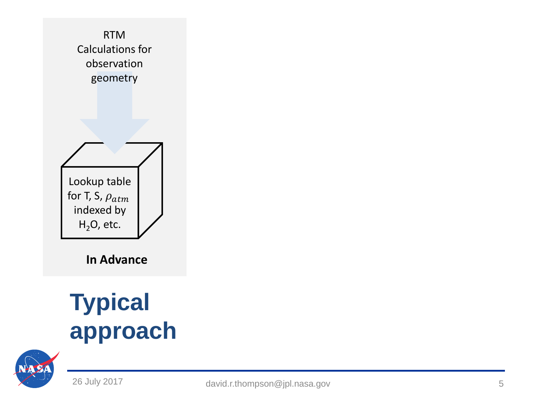

**In Advance**

#### **Typical approach**

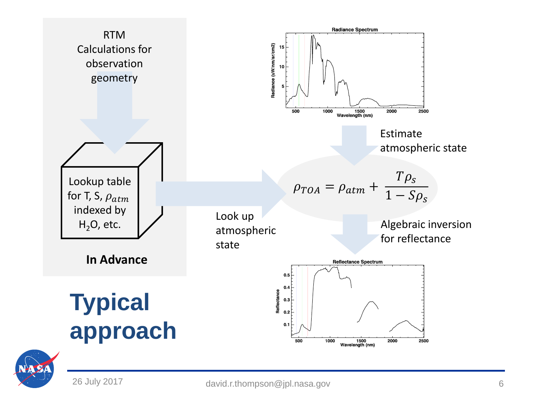

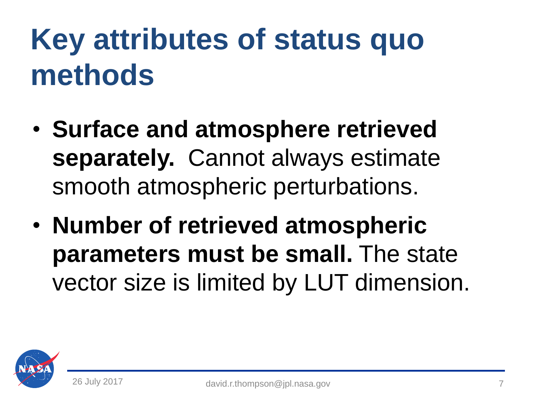## **Key attributes of status quo methods**

- **Surface and atmosphere retrieved separately.** Cannot always estimate smooth atmospheric perturbations.
- **Number of retrieved atmospheric parameters must be small.** The state vector size is limited by LUT dimension.

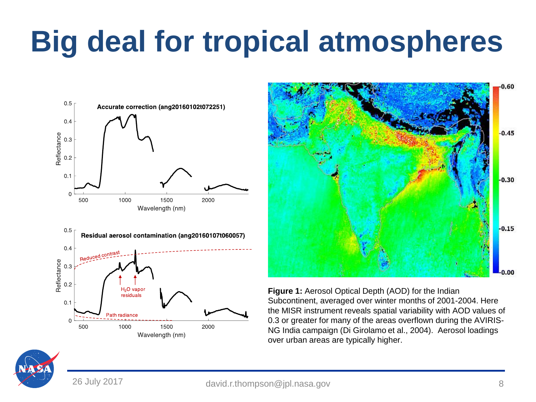## **Big deal for tropical atmospheres**







**Figure 1:** Aerosol Optical Depth (AOD) for the Indian Subcontinent, averaged over winter months of 2001-2004. Here the MISR instrument reveals spatial variability with AOD values of 0.3 or greater for many of the areas overflown during the AVIRIS-NG India campaign (Di Girolamo et al., 2004). Aerosol loadings over urban areas are typically higher.

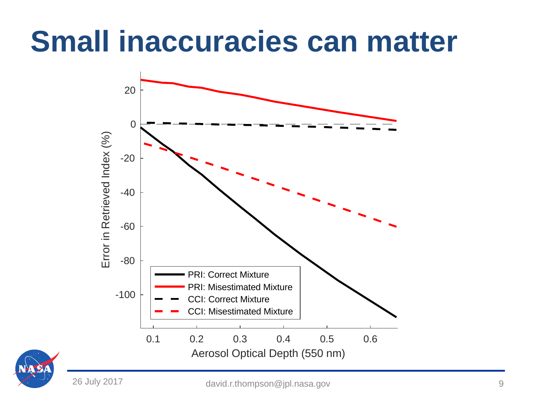#### **Small inaccuracies can matter**



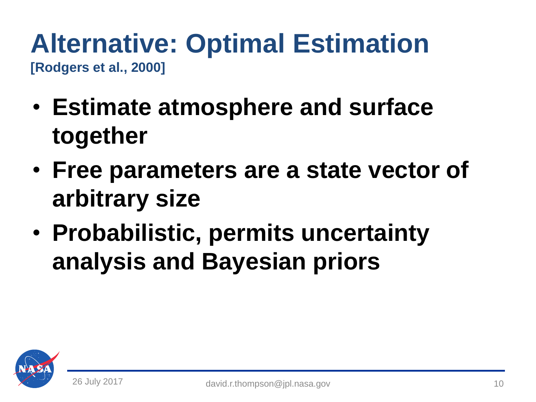#### **Alternative: Optimal Estimation [Rodgers et al., 2000]**

- **Estimate atmosphere and surface together**
- **Free parameters are a state vector of arbitrary size**
- **Probabilistic, permits uncertainty analysis and Bayesian priors**

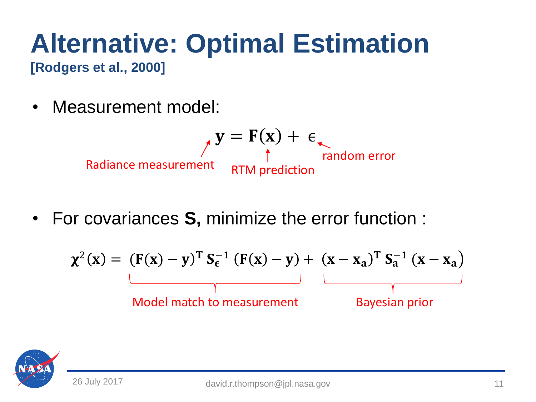# **Alternative: Optimal Estimation**

**[Rodgers et al., 2000]**

• Measurement model:

$$
\mathbf{y} = \mathbf{F}(\mathbf{x}) + \epsilon_{\text{random error}}
$$
\nRadius of the equation  $\mathbf{y} = \mathbf{y} - \mathbf{y}$ , and  $\mathbf{y} = \mathbf{y} - \mathbf{y}$ , respectively.

• For covariances **S,** minimize the error function :

$$
\chi^{2}(x) = (F(x) - y)^{T} S_{\epsilon}^{-1} (F(x) - y) + (x - x_{a})^{T} S_{a}^{-1} (x - x_{a})
$$
\nModel match to measurement

\nBayesian prior

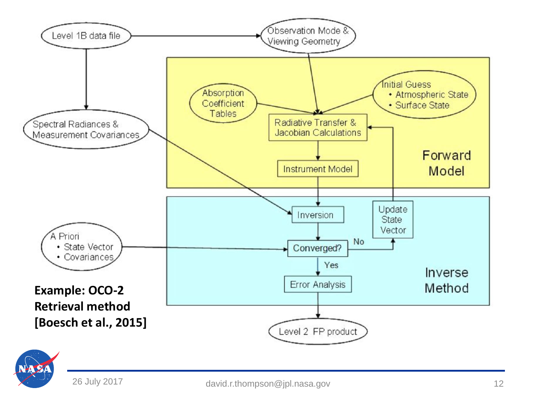

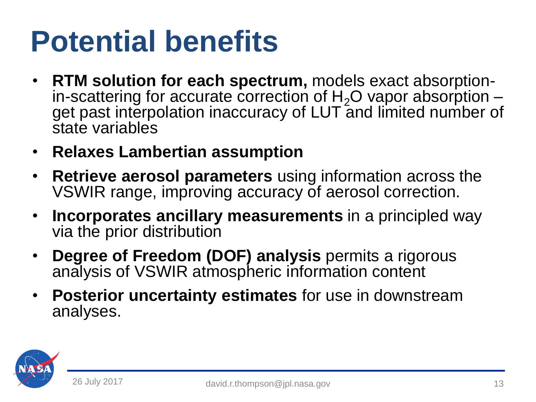#### **Potential benefits**

- **RTM solution for each spectrum,** models exact absorptionin-scattering for accurate correction of  $H_2O$  vapor absorption – get past interpolation inaccuracy of LUT and limited number of state variables
- **Relaxes Lambertian assumption**
- **Retrieve aerosol parameters** using information across the VSWIR range, improving accuracy of aerosol correction.
- **Incorporates ancillary measurements** in a principled way via the prior distribution
- **Degree of Freedom (DOF) analysis** permits a rigorous analysis of VSWIR atmospheric information content
- **Posterior uncertainty estimates** for use in downstream analyses.

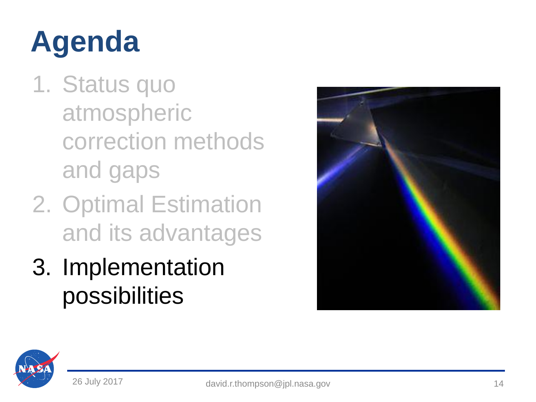# **Agenda**

- 1. Status quo atmospheric correction methods and gaps
- 2. Optimal Estimation and its advantages
- 3. Implementation possibilities



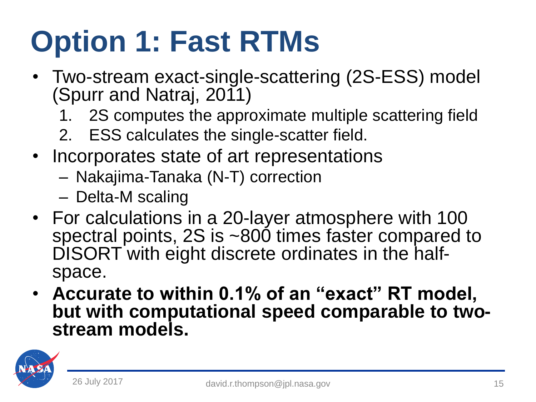## **Option 1: Fast RTMs**

- Two-stream exact-single-scattering (2S-ESS) model (Spurr and Natraj, 2011)
	- 1. 2S computes the approximate multiple scattering field
	- 2. ESS calculates the single-scatter field.
- Incorporates state of art representations
	- Nakajima-Tanaka (N-T) correction
	- Delta-M scaling
- For calculations in a 20-layer atmosphere with 100 spectral points, 2S is ~800 times faster compared to DISORT with eight discrete ordinates in the halfspace.
- **Accurate to within 0.1% of an "exact" RT model, but with computational speed comparable to twostream models.**

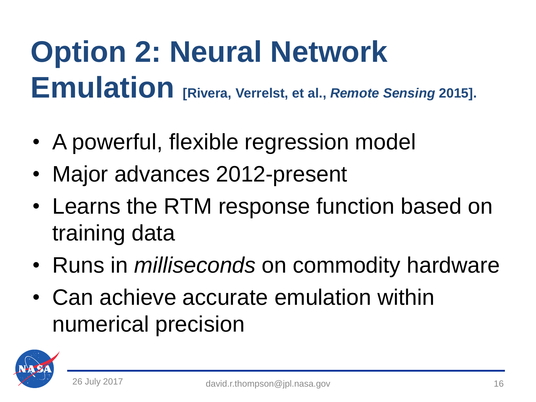# **Option 2: Neural Network Emulation [Rivera, Verrelst, et al.,** *Remote Sensing* **2015].**

- A powerful, flexible regression model
- Major advances 2012-present
- Learns the RTM response function based on training data
- Runs in *milliseconds* on commodity hardware
- Can achieve accurate emulation within numerical precision

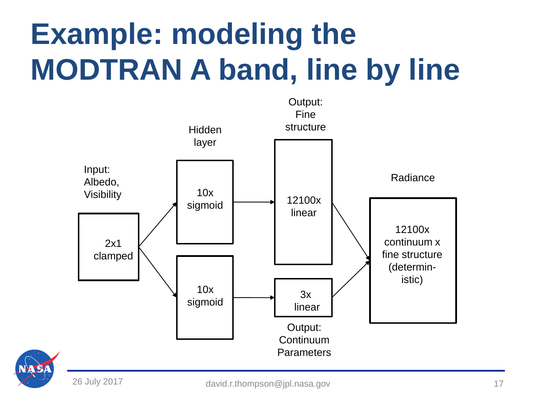# **Example: modeling the MODTRAN A band, line by line**



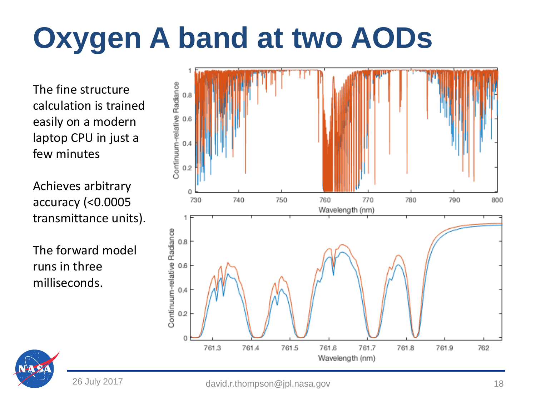# **Oxygen A band at two AODs**

The fine structure calculation is trained easily on a modern laptop CPU in just a few minutes

Achieves arbitrary accuracy (<0.0005 transmittance units).

The forward model runs in three milliseconds.



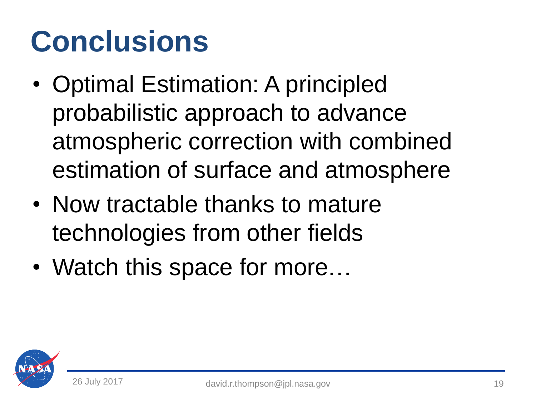#### **Conclusions**

- Optimal Estimation: A principled probabilistic approach to advance atmospheric correction with combined estimation of surface and atmosphere
- Now tractable thanks to mature technologies from other fields
- Watch this space for more...

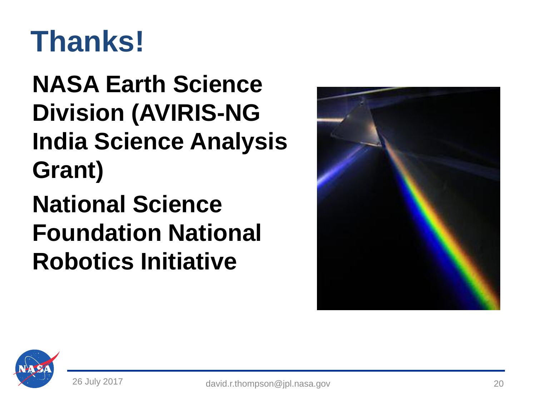#### **Thanks!**

**NASA Earth Science Division (AVIRIS-NG India Science Analysis Grant)**

**National Science Foundation National Robotics Initiative**